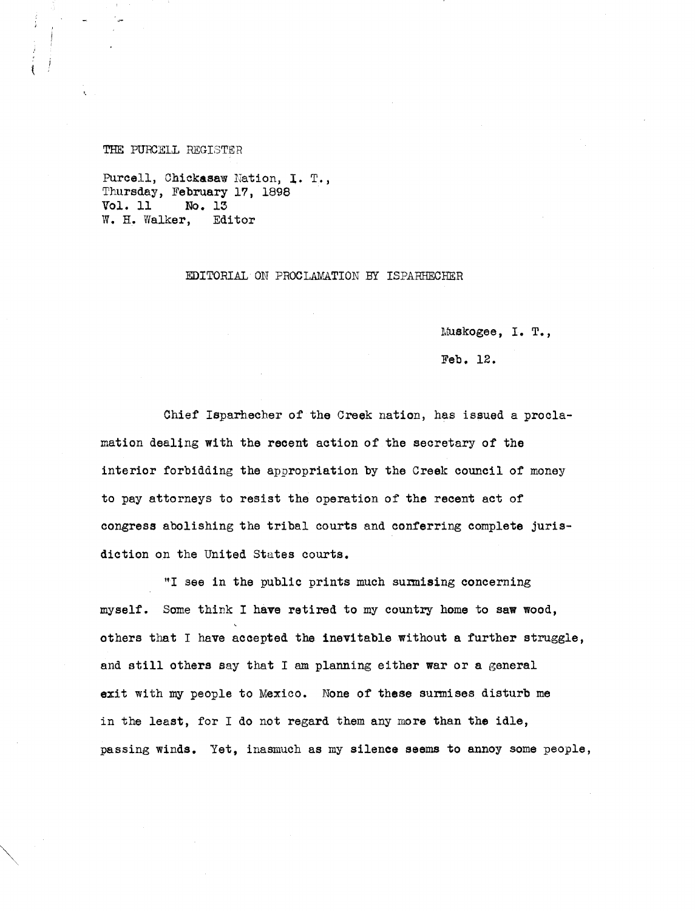THE PURCELL REGISTER

t

Purcell, Chickasaw Nation, I. T., Thursday, February 17, 1898 Vol. 11 No. 13 W. H. Walker, Editor

## EDITORIAL ON PROCLAMATION BY ISPARHECHER

Muskogee, I. T.,

Feb. 12.

Chief Isparhecher of the Creek nation, has issued a proclamation dealing with the recent action of the secretary of the interior forbidding the appropriation by the Creek council of money to pay attorneys to resist the operation of the recent act of congress abolishing the tribal courts and conferring complete jurisdiction on the United States courts.

"I see in the public prints much surmising concerning myself. Some think I **have** retired to my country home to **saw wood,** others that I have accepted the inevitable without a further struggle, and still others say that I am planning either war or a general exit with my people to Mexico. None of these surmises disturb me in the least, for I do not regard them any more than the idle, passing winds. Yet, inasmuch as my silence seems to annoy some people,